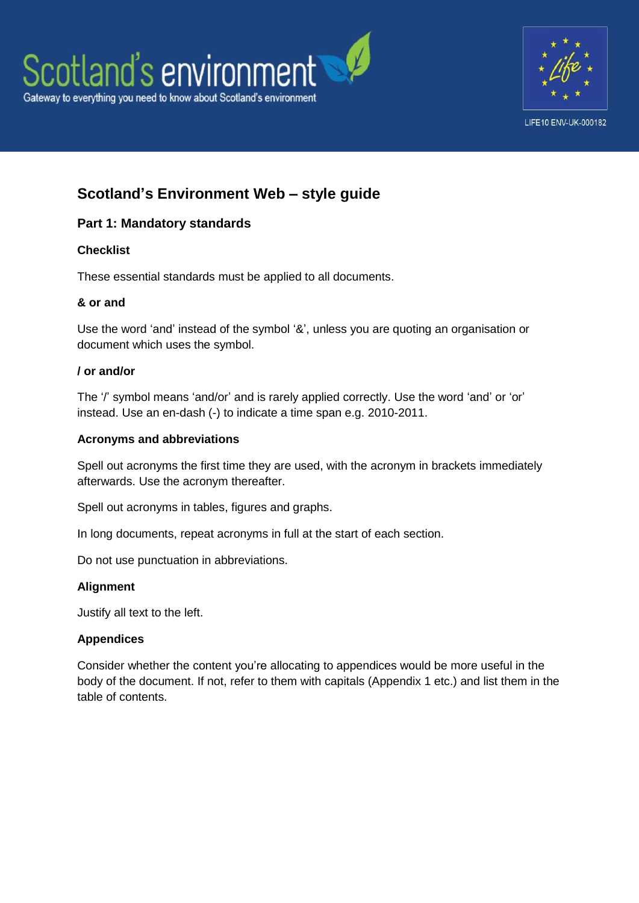



# **Scotland's Environment Web – style guide**

## **Part 1: Mandatory standards**

## **Checklist**

These essential standards must be applied to all documents.

## **& or and**

Use the word 'and' instead of the symbol '&', unless you are quoting an organisation or document which uses the symbol.

## **/ or and/or**

The '/' symbol means 'and/or' and is rarely applied correctly. Use the word 'and' or 'or' instead. Use an en-dash (-) to indicate a time span e.g. 2010-2011.

## **Acronyms and abbreviations**

Spell out acronyms the first time they are used, with the acronym in brackets immediately afterwards. Use the acronym thereafter.

Spell out acronyms in tables, figures and graphs.

In long documents, repeat acronyms in full at the start of each section.

Do not use punctuation in abbreviations.

## **Alignment**

Justify all text to the left.

## **Appendices**

Consider whether the content you're allocating to appendices would be more useful in the body of the document. If not, refer to them with capitals (Appendix 1 etc.) and list them in the table of contents.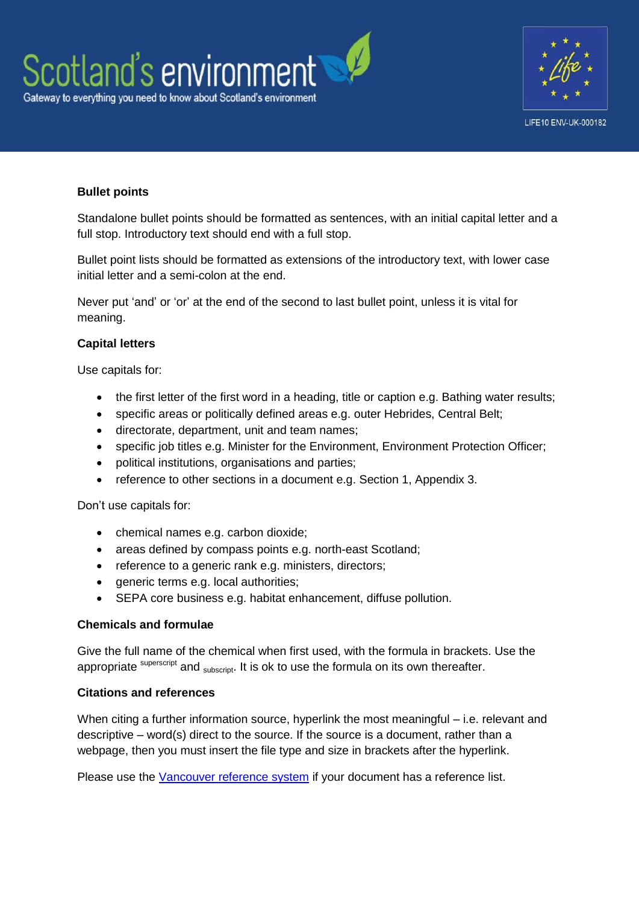



## **Bullet points**

Standalone bullet points should be formatted as sentences, with an initial capital letter and a full stop. Introductory text should end with a full stop.

Bullet point lists should be formatted as extensions of the introductory text, with lower case initial letter and a semi-colon at the end.

Never put 'and' or 'or' at the end of the second to last bullet point, unless it is vital for meaning.

#### **Capital letters**

Use capitals for:

- the first letter of the first word in a heading, title or caption e.g. Bathing water results;
- specific areas or politically defined areas e.g. outer Hebrides, Central Belt;
- directorate, department, unit and team names;
- specific job titles e.g. Minister for the Environment, Environment Protection Officer;
- political institutions, organisations and parties;
- reference to other sections in a document e.g. Section 1, Appendix 3.

Don't use capitals for:

- chemical names e.g. carbon dioxide;
- areas defined by compass points e.g. north-east Scotland;
- reference to a generic rank e.g. ministers, directors;
- generic terms e.g. local authorities;
- SEPA core business e.g. habitat enhancement, diffuse pollution.

#### **Chemicals and formulae**

Give the full name of the chemical when first used, with the formula in brackets. Use the appropriate superscript and  $subscript$ . It is ok to use the formula on its own thereafter.

#### **Citations and references**

When citing a further information source, hyperlink the most meaningful – i.e. relevant and descriptive – word(s) direct to the source. If the source is a document, rather than a webpage, then you must insert the file type and size in brackets after the hyperlink.

Please use the [Vancouver reference system](http://en.wikipedia.org/wiki/Vancouver_system) if your document has a reference list.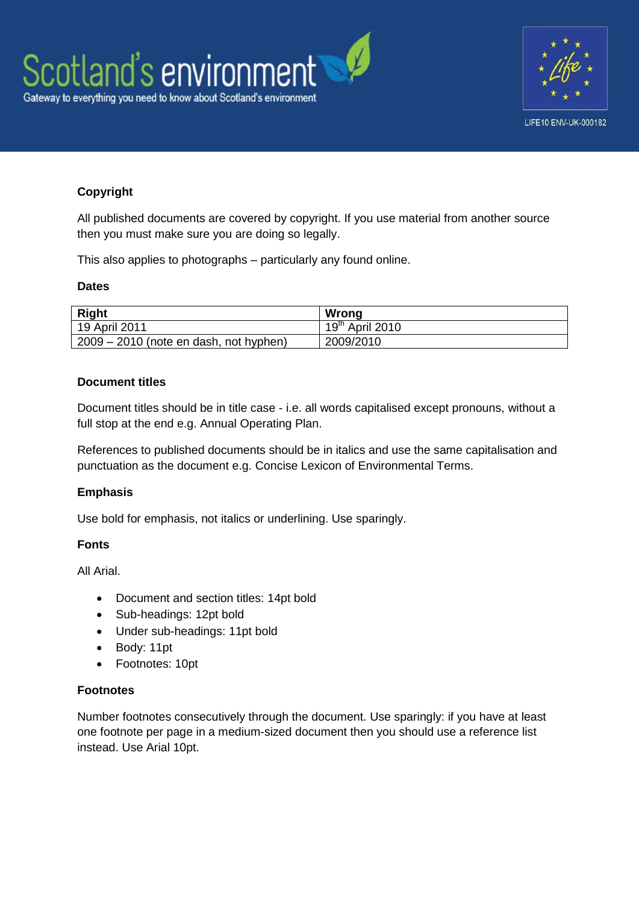



## **Copyright**

All published documents are covered by copyright. If you use material from another source then you must make sure you are doing so legally.

This also applies to photographs – particularly any found online.

## **Dates**

| <b>Right</b>                             | Wrong             |
|------------------------------------------|-------------------|
| 19 April 2011                            | $19th$ April 2010 |
| $2009 - 2010$ (note en dash, not hyphen) | 2009/2010         |

## **Document titles**

Document titles should be in title case - i.e. all words capitalised except pronouns, without a full stop at the end e.g. Annual Operating Plan.

References to published documents should be in italics and use the same capitalisation and punctuation as the document e.g. Concise Lexicon of Environmental Terms.

## **Emphasis**

Use bold for emphasis, not italics or underlining. Use sparingly.

#### **Fonts**

All Arial.

- Document and section titles: 14pt bold
- Sub-headings: 12pt bold
- Under sub-headings: 11pt bold
- Body: 11pt
- Footnotes: 10pt

#### **Footnotes**

Number footnotes consecutively through the document. Use sparingly: if you have at least one footnote per page in a medium-sized document then you should use a reference list instead. Use Arial 10pt.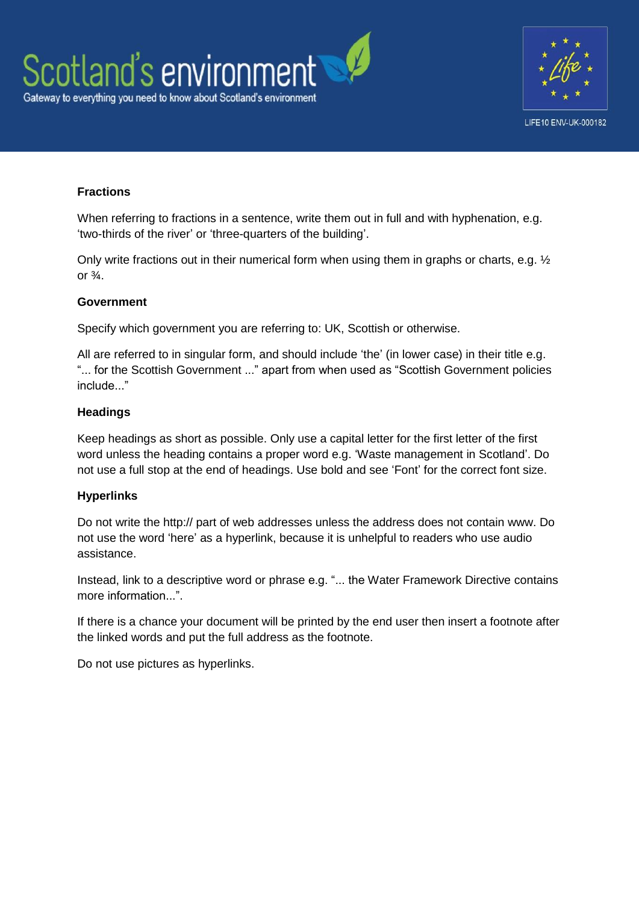



## **Fractions**

When referring to fractions in a sentence, write them out in full and with hyphenation, e.g. 'two-thirds of the river' or 'three-quarters of the building'.

Only write fractions out in their numerical form when using them in graphs or charts, e.g.  $\frac{1}{2}$ or  $\frac{3}{4}$ .

#### **Government**

Specify which government you are referring to: UK, Scottish or otherwise.

All are referred to in singular form, and should include 'the' (in lower case) in their title e.g. "... for the Scottish Government ..." apart from when used as "Scottish Government policies include."

#### **Headings**

Keep headings as short as possible. Only use a capital letter for the first letter of the first word unless the heading contains a proper word e.g. 'Waste management in Scotland'. Do not use a full stop at the end of headings. Use bold and see 'Font' for the correct font size.

#### **Hyperlinks**

Do not write the http:// part of web addresses unless the address does not contain www. Do not use the word 'here' as a hyperlink, because it is unhelpful to readers who use audio assistance.

Instead, link to a descriptive word or phrase e.g. "... the Water Framework Directive contains more information..."

If there is a chance your document will be printed by the end user then insert a footnote after the linked words and put the full address as the footnote.

Do not use pictures as hyperlinks.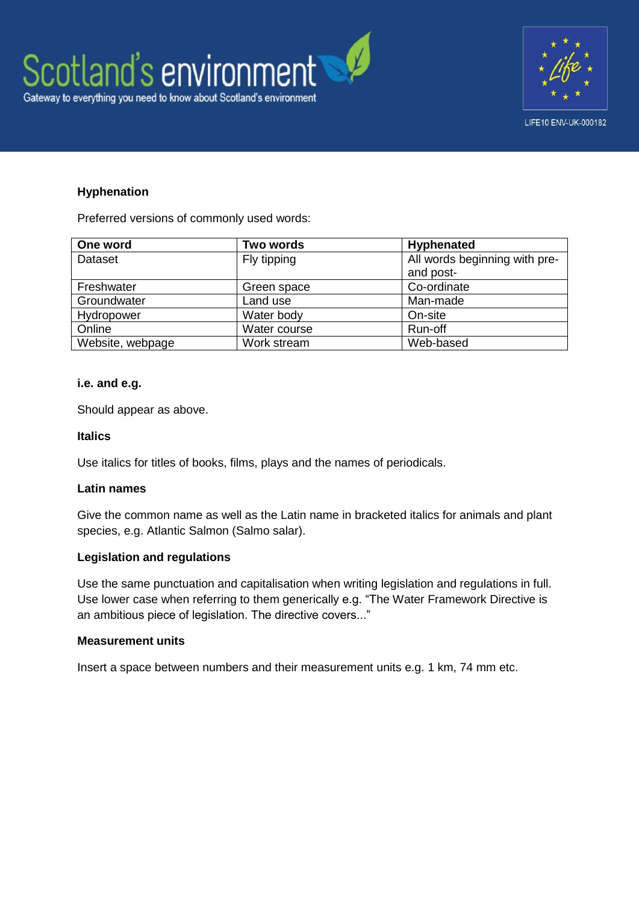



### **Hyphenation**

Preferred versions of commonly used words:

| One word         | <b>Two words</b> | <b>Hyphenated</b>             |
|------------------|------------------|-------------------------------|
| Dataset          | Fly tipping      | All words beginning with pre- |
|                  |                  | and post-                     |
| Freshwater       | Green space      | Co-ordinate                   |
| Groundwater      | Land use         | Man-made                      |
| Hydropower       | Water body       | On-site                       |
| Online           | Water course     | Run-off                       |
| Website, webpage | Work stream      | Web-based                     |

#### **i.e. and e.g.**

Should appear as above.

#### **Italics**

Use italics for titles of books, films, plays and the names of periodicals.

#### **Latin names**

Give the common name as well as the Latin name in bracketed italics for animals and plant species, e.g. Atlantic Salmon (Salmo salar).

#### **Legislation and regulations**

Use the same punctuation and capitalisation when writing legislation and regulations in full. Use lower case when referring to them generically e.g. "The Water Framework Directive is an ambitious piece of legislation. The directive covers..."

#### **Measurement units**

Insert a space between numbers and their measurement units e.g. 1 km, 74 mm etc.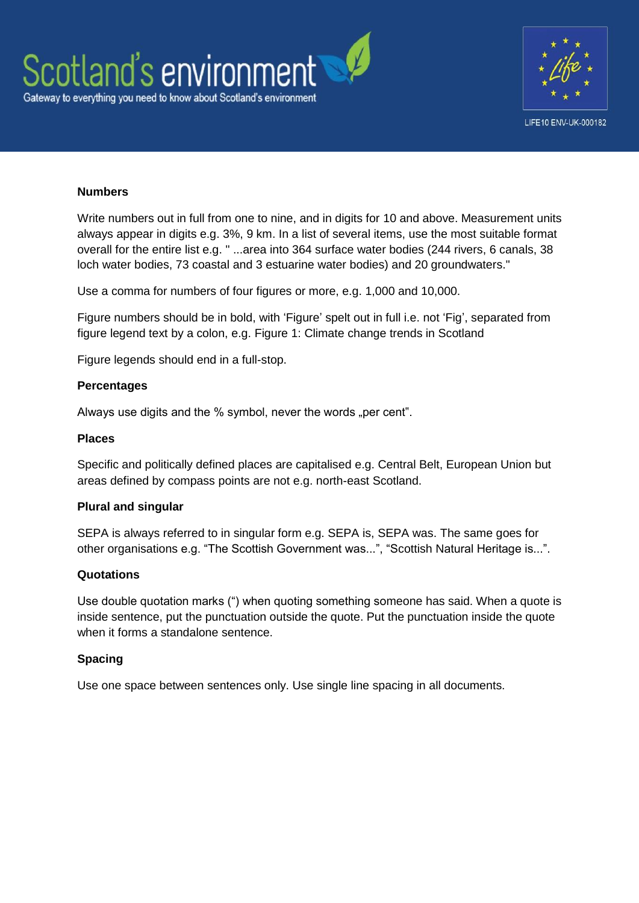



#### **Numbers**

Write numbers out in full from one to nine, and in digits for 10 and above. Measurement units always appear in digits e.g. 3%, 9 km. In a list of several items, use the most suitable format overall for the entire list e.g. " ...area into 364 surface water bodies (244 rivers, 6 canals, 38 loch water bodies, 73 coastal and 3 estuarine water bodies) and 20 groundwaters."

Use a comma for numbers of four figures or more, e.g. 1,000 and 10,000.

Figure numbers should be in bold, with 'Figure' spelt out in full i.e. not 'Fig', separated from figure legend text by a colon, e.g. Figure 1: Climate change trends in Scotland

Figure legends should end in a full-stop.

#### **Percentages**

Always use digits and the % symbol, never the words "per cent".

#### **Places**

Specific and politically defined places are capitalised e.g. Central Belt, European Union but areas defined by compass points are not e.g. north-east Scotland.

#### **Plural and singular**

SEPA is always referred to in singular form e.g. SEPA is, SEPA was. The same goes for other organisations e.g. "The Scottish Government was...", "Scottish Natural Heritage is...".

#### **Quotations**

Use double quotation marks (") when quoting something someone has said. When a quote is inside sentence, put the punctuation outside the quote. Put the punctuation inside the quote when it forms a standalone sentence.

#### **Spacing**

Use one space between sentences only. Use single line spacing in all documents.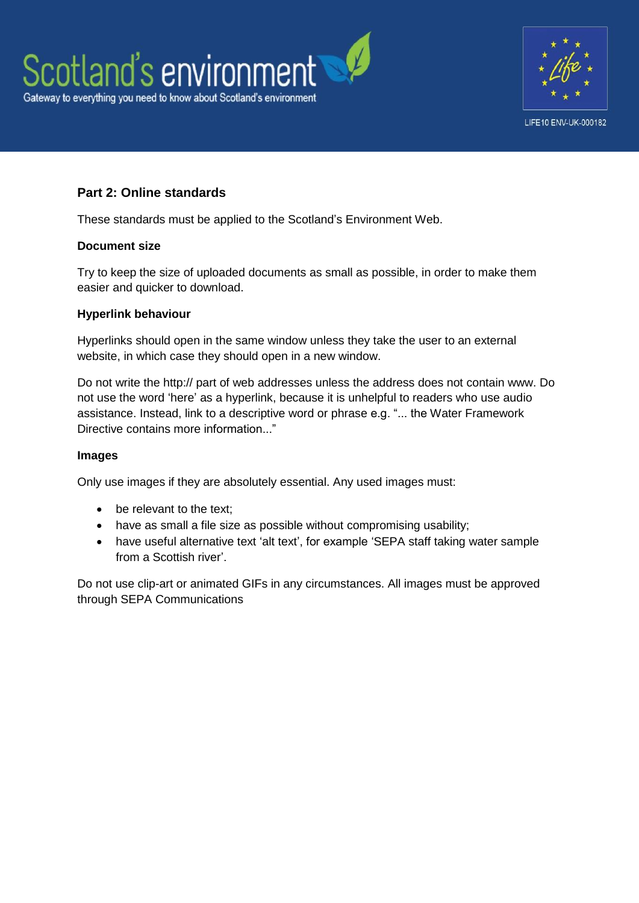



## **Part 2: Online standards**

These standards must be applied to the Scotland's Environment Web.

#### **Document size**

Try to keep the size of uploaded documents as small as possible, in order to make them easier and quicker to download.

#### **Hyperlink behaviour**

Hyperlinks should open in the same window unless they take the user to an external website, in which case they should open in a new window.

Do not write the http:// part of web addresses unless the address does not contain www. Do not use the word 'here' as a hyperlink, because it is unhelpful to readers who use audio assistance. Instead, link to a descriptive word or phrase e.g. "... the Water Framework Directive contains more information..."

#### **Images**

Only use images if they are absolutely essential. Any used images must:

- be relevant to the text:
- have as small a file size as possible without compromising usability;
- have useful alternative text 'alt text', for example 'SEPA staff taking water sample from a Scottish river'.

Do not use clip-art or animated GIFs in any circumstances. All images must be approved through SEPA Communications